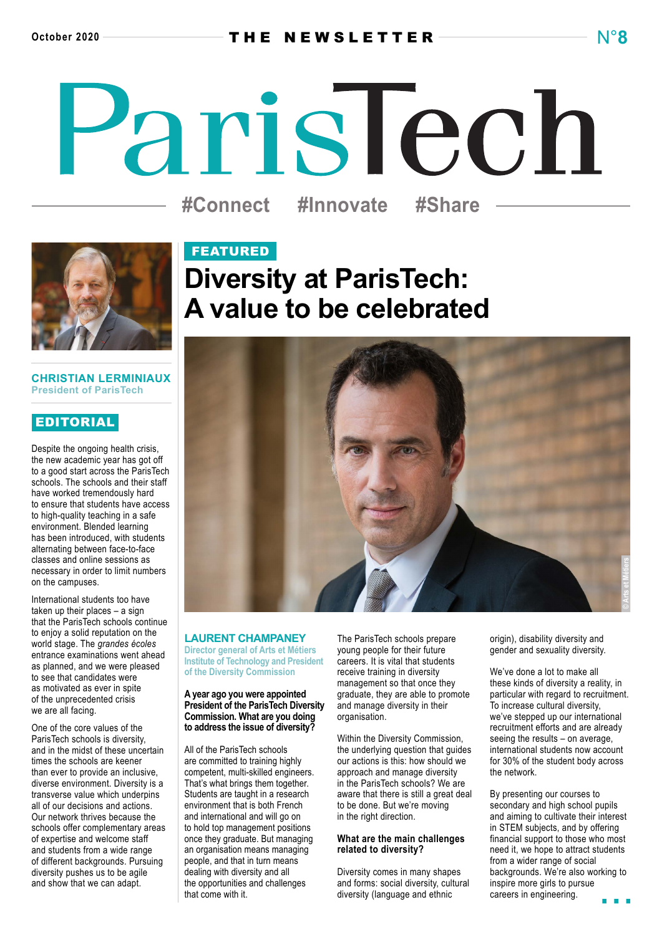# ParisTech **#Connect #Innovate #Share**



### **CHRISTIAN LERMINIAUX President of ParisTech**

### EDITORIAL

Despite the ongoing health crisis. the new academic year has got off to a good start across the ParisTech schools. The schools and their staff have worked tremendously hard to ensure that students have access to high-quality teaching in a safe environment. Blended learning has been introduced, with students alternating between face-to-face classes and online sessions as necessary in order to limit numbers on the campuses.

International students too have taken up their places – a sign that the ParisTech schools continue to enjoy a solid reputation on the world stage. The *grandes écoles* entrance examinations went ahead as planned, and we were pleased to see that candidates were as motivated as ever in spite of the unprecedented crisis we are all facing.

One of the core values of the ParisTech schools is diversity, and in the midst of these uncertain times the schools are keener than ever to provide an inclusive, diverse environment. Diversity is a transverse value which underpins all of our decisions and actions. Our network thrives because the schools offer complementary areas of expertise and welcome staff and students from a wide range of different backgrounds. Pursuing diversity pushes us to be agile and show that we can adapt.

## FEATURED **Diversity at ParisTech: A value to be celebrated**



### **LAURENT CHAMPANEY**

**Director general of Arts et Métiers Institute of Technology and President of the Diversity Commission**

### **A year ago you were appointed President of the ParisTech Diversity Commission. What are you doing to address the issue of diversity?**

All of the ParisTech schools are committed to training highly competent, multi-skilled engineers. That's what brings them together. Students are taught in a research environment that is both French and international and will go on to hold top management positions once they graduate. But managing an organisation means managing people, and that in turn means dealing with diversity and all the opportunities and challenges that come with it.

The ParisTech schools prepare young people for their future careers. It is vital that students receive training in diversity management so that once they graduate, they are able to promote and manage diversity in their organisation.

Within the Diversity Commission, the underlying question that guides our actions is this: how should we approach and manage diversity in the ParisTech schools? We are aware that there is still a great deal to be done. But we're moving in the right direction.

### **What are the main challenges related to diversity?**

Diversity comes in many shapes and forms: social diversity, cultural diversity (language and ethnic

origin), disability diversity and gender and sexuality diversity.

We've done a lot to make all these kinds of diversity a reality, in particular with regard to recruitment. To increase cultural diversity, we've stepped up our international recruitment efforts and are already seeing the results – on average, international students now account for 30% of the student body across the network.

By presenting our courses to secondary and high school pupils and aiming to cultivate their interest in STEM subjects, and by offering financial support to those who most need it, we hope to attract students from a wider range of social backgrounds. We're also working to inspire more girls to pursue careers in engineering.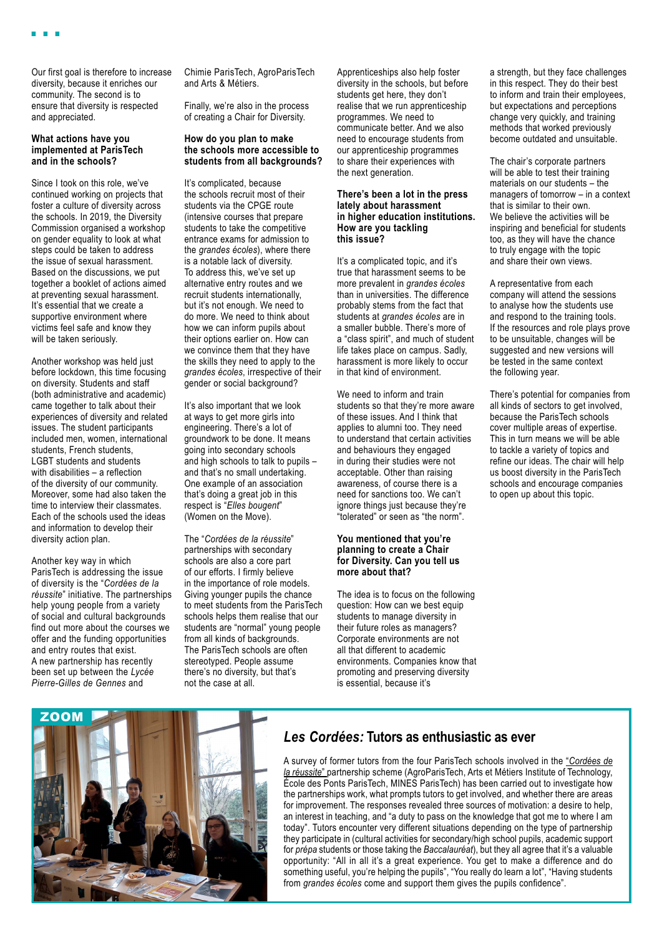Our first goal is therefore to increase diversity, because it enriches our community. The second is to ensure that diversity is respected and appreciated.

### **What actions have you implemented at ParisTech and in the schools?**

Since I took on this role, we've continued working on projects that foster a culture of diversity across the schools. In 2019, the Diversity Commission organised a workshop on gender equality to look at what steps could be taken to address the issue of sexual harassment. Based on the discussions, we put together a booklet of actions aimed at preventing sexual harassment. It's essential that we create a supportive environment where victims feel safe and know they will be taken seriously.

Another workshop was held just before lockdown, this time focusing on diversity. Students and staff (both administrative and academic) came together to talk about their experiences of diversity and related issues. The student participants included men, women, international students, French students, LGBT students and students with disabilities – a reflection of the diversity of our community. Moreover, some had also taken the time to interview their classmates. Each of the schools used the ideas and information to develop their diversity action plan.

Another key way in which ParisTech is addressing the issue of diversity is the "*Cordées de la réussite*" initiative. The partnerships help young people from a variety of social and cultural backgrounds find out more about the courses we offer and the funding opportunities and entry routes that exist. A new partnership has recently been set up between the *Lycée Pierre-Gilles de Gennes* and

Chimie ParisTech, AgroParisTech and Arts & Métiers.

Finally, we're also in the process of creating a Chair for Diversity.

### **How do you plan to make the schools more accessible to students from all backgrounds?**

It's complicated, because the schools recruit most of their students via the CPGE route (intensive courses that prepare students to take the competitive entrance exams for admission to the *grandes écoles*), where there is a notable lack of diversity. To address this, we've set up alternative entry routes and we recruit students internationally, but it's not enough. We need to do more. We need to think about how we can inform pupils about their options earlier on. How can we convince them that they have the skills they need to apply to the *grandes écoles*, irrespective of their gender or social background?

It's also important that we look at ways to get more girls into engineering. There's a lot of groundwork to be done. It means going into secondary schools and high schools to talk to pupils – and that's no small undertaking. One example of an association that's doing a great job in this respect is "*Elles bougent*" (Women on the Move).

The "*Cordées de la réussite*" partnerships with secondary schools are also a core part of our efforts. I firmly believe in the importance of role models. Giving younger pupils the chance to meet students from the ParisTech schools helps them realise that our students are "normal" young people from all kinds of backgrounds. The ParisTech schools are often stereotyped. People assume there's no diversity, but that's not the case at all.

Apprenticeships also help foster diversity in the schools, but before students get here, they don't realise that we run apprenticeship programmes. We need to communicate better. And we also need to encourage students from our apprenticeship programmes to share their experiences with the next generation.

### **There's been a lot in the press lately about harassment in higher education institutions. How are you tackling this issue?**

It's a complicated topic, and it's true that harassment seems to be more prevalent in *grandes écoles* than in universities. The difference probably stems from the fact that students at *grandes écoles* are in a smaller bubble. There's more of a "class spirit", and much of student life takes place on campus. Sadly, harassment is more likely to occur in that kind of environment.

We need to inform and train students so that they're more aware of these issues. And I think that applies to alumni too. They need to understand that certain activities and behaviours they engaged in during their studies were not acceptable. Other than raising awareness, of course there is a need for sanctions too. We can't ignore things just because they're "tolerated" or seen as "the norm".

### **You mentioned that you're planning to create a Chair for Diversity. Can you tell us more about that?**

The idea is to focus on the following question: How can we best equip students to manage diversity in their future roles as managers? Corporate environments are not all that different to academic environments. Companies know that promoting and preserving diversity is essential, because it's

a strength, but they face challenges in this respect. They do their best to inform and train their employees, but expectations and perceptions change very quickly, and training methods that worked previously become outdated and unsuitable.

The chair's corporate partners will be able to test their training materials on our students – the managers of tomorrow – in a context that is similar to their own. We believe the activities will be inspiring and beneficial for students too, as they will have the chance to truly engage with the topic and share their own views.

A representative from each company will attend the sessions to analyse how the students use and respond to the training tools. If the resources and role plays prove to be unsuitable, changes will be suggested and new versions will be tested in the same context the following year.

There's potential for companies from all kinds of sectors to get involved. because the ParisTech schools cover multiple areas of expertise. This in turn means we will be able to tackle a variety of topics and refine our ideas. The chair will help us boost diversity in the ParisTech schools and encourage companies to open up about this topic.



### *Les Cordées:* **Tutors as enthusiastic as ever**

A survey of former tutors from the four ParisTech schools involved in the "*[Cordées de](https://paristech.fr/en/equal-opportunities-paristech/cordees-de-la-reussite-partnerships) [la réussite](https://paristech.fr/en/equal-opportunities-paristech/cordees-de-la-reussite-partnerships)*" partnership scheme (AgroParisTech, Arts et Métiers Institute of Technology, École des Ponts ParisTech, MINES ParisTech) has been carried out to investigate how the partnerships work, what prompts tutors to get involved, and whether there are areas for improvement. The responses revealed three sources of motivation: a desire to help, an interest in teaching, and "a duty to pass on the knowledge that got me to where I am today". Tutors encounter very different situations depending on the type of partnership they participate in (cultural activities for secondary/high school pupils, academic support for *prépa* students or those taking the *Baccalauréat*), but they all agree that it's a valuable opportunity: "All in all it's a great experience. You get to make a difference and do something useful, you're helping the pupils", "You really do learn a lot", "Having students from *grandes écoles* come and support them gives the pupils confidence".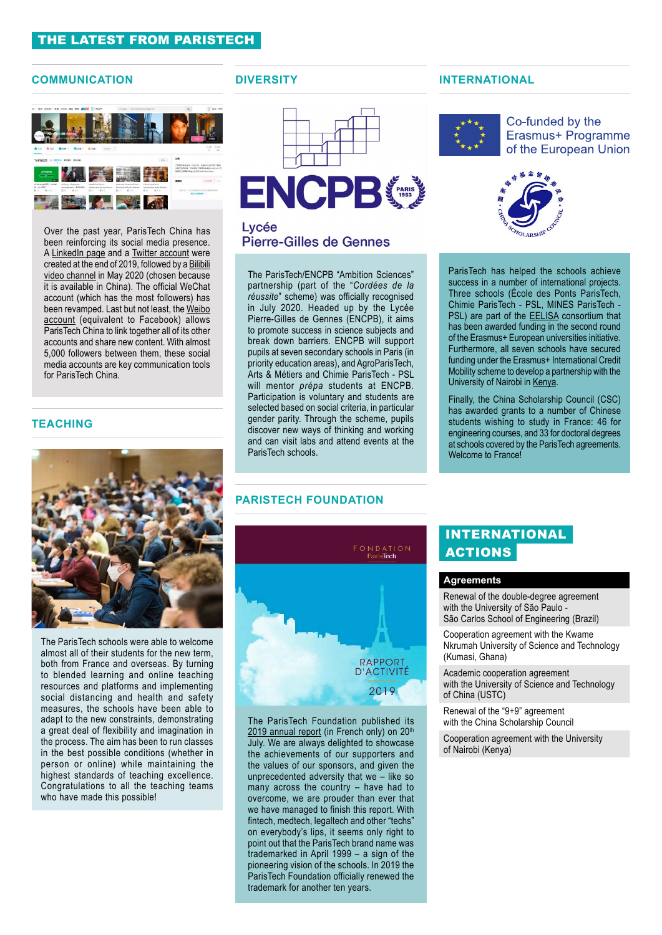### THE LATEST FROM PARISTECH

### **COMMUNICATION DIVERSITY**



Over the past year, ParisTech China has been reinforcing its social media presence. A [LinkedIn](https://www.linkedin.com/showcase/paristech-china/) page and a [Twitter account](https://twitter.com/ParistechC) were created at the end of 2019, followed by a [Bilibili](https://space.bilibili.com/595279477)  [video channel](https://space.bilibili.com/595279477) in May 2020 (chosen because it is available in China). The official WeChat account (which has the most followers) has been revamped. Last but not least, the [Weibo](https://passport.weibo.com/visitor/visitor?entry=miniblog&a=enter&url=https%3A%2F%2Fweibo.com%2Fparistechchina&domain=.weibo.com&ua=php-sso_sdk_client-0.6.36&_rand=1601643901.4097)  [account](https://passport.weibo.com/visitor/visitor?entry=miniblog&a=enter&url=https%3A%2F%2Fweibo.com%2Fparistechchina&domain=.weibo.com&ua=php-sso_sdk_client-0.6.36&_rand=1601643901.4097) (equivalent to Facebook) allows ParisTech China to link together all of its other accounts and share new content. With almost 5,000 followers between them, these social media accounts are key communication tools for ParisTech China.

### **TEACHING**



The ParisTech schools were able to welcome almost all of their students for the new term, both from France and overseas. By turning to blended learning and online teaching resources and platforms and implementing social distancing and health and safety measures, the schools have been able to adapt to the new constraints, demonstrating a great deal of flexibility and imagination in the process. The aim has been to run classes in the best possible conditions (whether in person or online) while maintaining the highest standards of teaching excellence. Congratulations to all the teaching teams who have made this possible!





### Lycée **Pierre-Gilles de Gennes**

The ParisTech/ENCPB "Ambition Sciences" partnership (part of the "*Cordées de la réussite*" scheme) was officially recognised in July 2020. Headed up by the Lycée Pierre-Gilles de Gennes (ENCPB), it aims to promote success in science subjects and break down barriers. ENCPB will support pupils at seven secondary schools in Paris (in priority education areas), and AgroParisTech, Arts & Métiers and Chimie ParisTech - PSL will mentor *prépa* students at ENCPB. Participation is voluntary and students are selected based on social criteria, in particular gender parity. Through the scheme, pupils discover new ways of thinking and working and can visit labs and attend events at the ParisTech schools.

### **PARISTECH FOUNDATION**



The ParisTech Foundation published its  $2019$  annual report (in French only) on  $20<sup>th</sup>$ July. We are always delighted to showcase the achievements of our supporters and the values of our sponsors, and given the unprecedented adversity that we – like so many across the country – have had to overcome, we are prouder than ever that we have managed to finish this report. With fintech, medtech, legaltech and other "techs" on everybody's lips, it seems only right to point out that the ParisTech brand name was trademarked in April 1999 – a sign of the pioneering vision of the schools. In 2019 the ParisTech Foundation officially renewed the trademark for another ten years.

### **INTERNATIONAL**



Co-funded by the Erasmus+ Programme of the European Union



ParisTech has helped the schools achieve success in a number of international projects. Three schools (École des Ponts ParisTech, Chimie ParisTech - PSL, MINES ParisTech - PSL) are part of the **EELISA** consortium that has been awarded funding in the second round of the Erasmus+ European universities initiative. Furthermore, all seven schools have secured funding under the Erasmus+ International Credit Mobility scheme to develop a partnership with the University of Nairobi in [Kenya](https://paristech.fr/en/node/6912).

Finally, the China Scholarship Council (CSC) has awarded grants to a number of Chinese students wishing to study in France: 46 for engineering courses, and 33 for doctoral degrees at schools covered by the ParisTech agreements. Welcome to France!

### INTERNATIONAL **ACTIONS**

### **Agreements**

Renewal of the double-degree agreement with the University of São Paulo -São Carlos School of Engineering (Brazil)

Cooperation agreement with the Kwame Nkrumah University of Science and Technology (Kumasi, Ghana)

Academic cooperation agreement with the University of Science and Technology of China (USTC)

Renewal of the "9+9" agreement with the China Scholarship Council

Cooperation agreement with the University of Nairobi (Kenya)